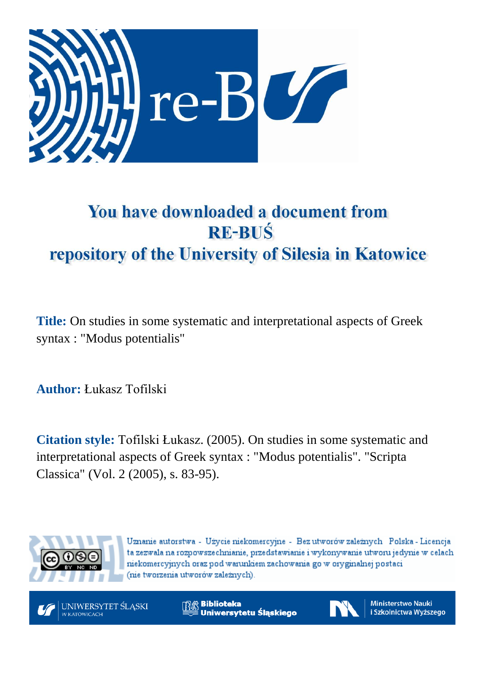

# You have downloaded a document from **RE-BUŚ** repository of the University of Silesia in Katowice

**Title:** On studies in some systematic and interpretational aspects of Greek syntax : "Modus potentialis"

**Author:** Łukasz Tofilski

**Citation style:** Tofilski Łukasz. (2005). On studies in some systematic and interpretational aspects of Greek syntax : "Modus potentialis". "Scripta Classica" (Vol. 2 (2005), s. 83-95).



Uznanie autorstwa - Użycie niekomercyjne - Bez utworów zależnych Polska - Licencja ta zezwala na rozpowszechnianie, przedstawianie i wykonywanie utworu jedynie w celach niekomercyjnych oraz pod warunkiem zachowania go w oryginalnej postaci (nie tworzenia utworów zależnych).



**Biblioteka** Uniwersytetu Śląskiego



**Ministerstwo Nauki** i Szkolnictwa Wyższego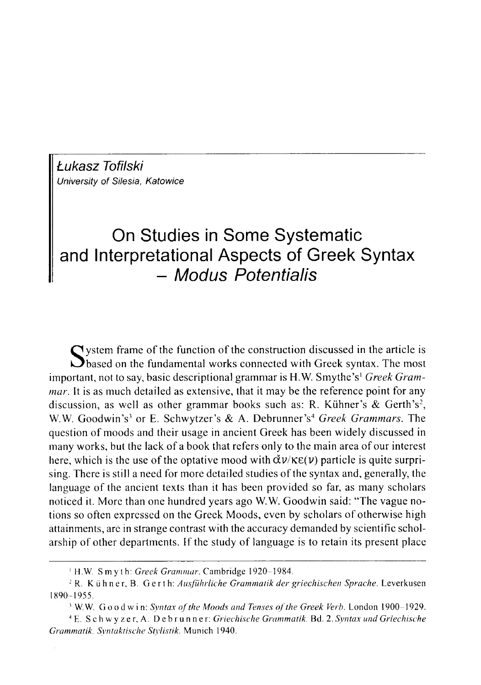*Łukasz Tofilski University of Silesia, Katowice* 

# On Studies in Some Systematic and interpretational Aspects of Greek Syntax - *Modus Potentialis*

S ystem frame of the function of the construction discussed in the article is<br>based on the fundamental works connected with Greek syntax. The most<br>test national descriptional groups is H.W. Smutho's Creak Gram  $\bigcap$  ystem frame of the function of the construction discussed in the article is important, not to say, basic descriptional grammar is H.W. Smythe's<sup>1</sup> *Greek Grammar.* It is as much detailed as extensive, that it may be the reference point for any discussion, as well as other grammar books such as: R. Kühner's & Gerth's<sup>2</sup>, W.W. Goodwin's<sup>3</sup> or E. Schwytzer's & A. Debrunner's<sup>4</sup> Greek Grammars. The question of moods and their usage in ancient Greek has been widely discussed in many works, but the lack of a book that refers only to the main area of our interest here, which is the use of the optative mood with  $\tilde{\alpha} \nu / \kappa \varepsilon(\nu)$  particle is quite surprising. There is still a need for more detailed studies of the syntax and, generally, the language of the ancient texts than it has been provided so far, as many scholars noticed it. More than one hundred years ago W.W. Goodwin said: "The vague notions so often expressed on the Greek Moods, even by scholars of otherwise high attainments, are in strange contrast with the accuracy demanded by scientific scholarship of other departments. If the study of language is to retain its present place

- <sup>3</sup> W.W. G o o d w i n: *Syntax of the Moods and Tenses of the Greek Verb.* London 1900–1929.
- 4 E. S c h w y z e r , A. D e b r u n n e r : *G riechische Gramm atik.* Bd. 2. *Syntax and G riechische Grammatik, Syntaktische Stylistik.* Munich 1940.

<sup>&</sup>lt;sup>1</sup> H.W. Smyth: *Greek Grammar*. Cambridge 1920-1984.

<sup>&</sup>lt;sup>2</sup> R. Kühner, B. Gerth: Ausführliche Grammatik der griechischen Sprache. Leverkusen 1890-1955.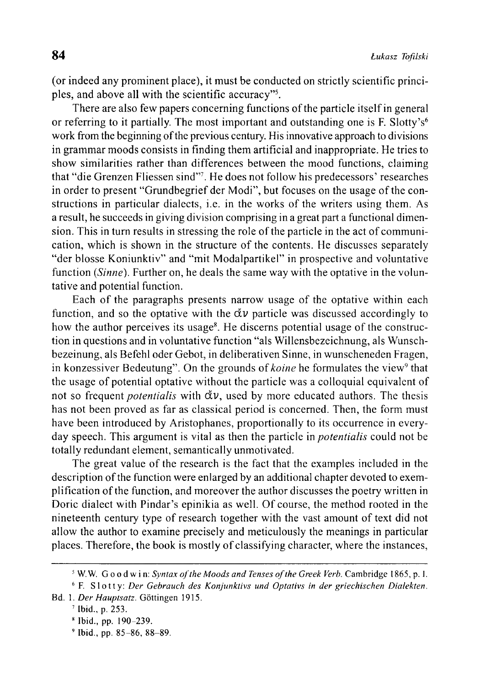(or indeed any prominent place), it must be conducted on strictly scientific principles, and above all with the scientific accuracy"5.

There are also few papers concerning functions of the particle itself in general or referring to it partially. The most important and outstanding one is F. Slotty's<sup>6</sup> work from the beginning of the previous century. His innovative approach to divisions in grammar moods consists in finding them artificial and inappropriate. He tries to show similarities rather than differences between the mood functions, claiming that "die Grenzen Fliessen sind"7. He does not follow his predecessors' researches in order to present "Grundbegrief der Modi", but focuses on the usage of the constructions in particular dialects, i.e. in the works of the writers using them. As a result, he succeeds in giving division comprising in a great part a functional dimension. This in turn results in stressing the role of the particle in the act of communication, which is shown in the structure of the contents. He discusses separately "der blosse Koniunktiv" and "mit Modalpartikel" in prospective and voluntative function *(Sinne)*. Further on, he deals the same way with the optative in the voluntative and potential function.

Each of the paragraphs presents narrow usage of the optative within each function, and so the optative with the  $\tilde{\alpha} \nu$  particle was discussed accordingly to how the author perceives its usage<sup>8</sup>. He discerns potential usage of the construction in questions and in voluntative function "als Willensbezeichnung, als Wunschbezeinung, als Befehl oder Gebot, in deliberativen Sinne, in wunscheneden Fragen, in konzessiver Bedeutung". On the grounds of *koine* he formulates the view<sup>9</sup> that the usage of potential optative without the particle was a colloquial equivalent of not so frequent *potentialis* with  $\tilde{\alpha}v$ , used by more educated authors. The thesis has not been proved as far as classical period is concerned. Then, the form must have been introduced by Aristophanes, proportionally to its occurrence in everyday speech. This argument is vital as then the particle in *potentialis* could not be totally redundant element, semantically unmotivated.

The great value of the research is the fact that the examples included in the description of the function were enlarged by an additional chapter devoted to exemplification of the function, and moreover the author discusses the poetry written in Doric dialect with Pindar's epinikia as well. Of course, the method rooted in the nineteenth century type of research together with the vast amount of text did not allow the author to examine precisely and meticulously the meanings in particular places. Therefore, the book is mostly of classifying character, where the instances,

<sup>&</sup>lt;sup>5</sup> W. W. Good win: *Syntax of the Moods and Tenses of the Greek Verb.* Cambridge 1865, p. I.

<sup>&</sup>lt;sup>6</sup> F. Slotty: *Der Gebrauch des Konjunktivs und Optativs in der griechischen Dialekten.* 

Bd. 1. *Der Hauptsatz*. Göttingen 1915.

<sup>7</sup> Ibid., p. 253.

<sup>8</sup> Ibid., pp. 190-239.

 $9$  Ibid., pp. 85-86, 88-89.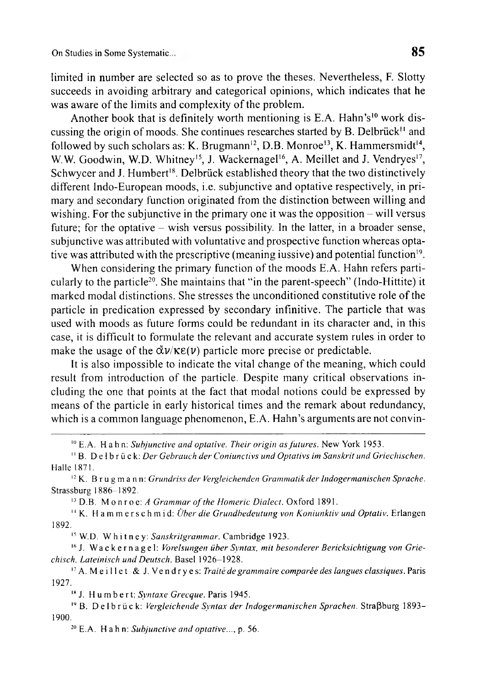limited in number are selected so as to prove the theses. Nevertheless, F. Slotty succeeds in avoiding arbitrary and categorical opinions, which indicates that he was aware of the limits and complexity of the problem.

Another book that is definitely worth mentioning is E.A. Hahn's<sup>10</sup> work discussing the origin of moods. She continues researches started by B. Delbrück<sup>11</sup> and followed by such scholars as: K. Brugmann<sup>12</sup>, D.B. Monroe<sup>13</sup>, K. Hammersmidt<sup>14</sup>, W.W. Goodwin, W.D. Whitney<sup>15</sup>, J. Wackernagel<sup>16</sup>, A. Meillet and J. Vendryes<sup>17</sup>, Schwycer and J. Humbert<sup>18</sup>. Delbrück established theory that the two distinctively different Indo-European moods, i.e. subjunctive and optative respectively, in primary and secondary function originated from the distinction between willing and wishing. For the subjunctive in the primary one it was the opposition  $-$  will versus future; for the optative – wish versus possibility. In the latter, in a broader sense, subjunctive was attributed with voluntative and prospective function whereas optative was attributed with the prescriptive (meaning iussive) and potential function<sup>19</sup>.

When considering the primary function of the moods E.A. Hahn refers particularly to the particle20. She maintains that "in the parent-speech" (Indo-Hittite) it marked modal distinctions. She stresses the unconditioned constitutive role of the particle in predication expressed by secondary infinitive. The particle that was used with moods as future forms could be redundant in its character and, in this case, it is difficult to formulate the relevant and accurate system rules in order to make the usage of the  $\check{\alpha}v/\kappa\epsilon(v)$  particle more precise or predictable.

It is also impossible to indicate the vital change of the meaning, which could result from introduction of the particle. Despite many critical observations including the one that points at the fact that modal notions could be expressed by means of the particle in early historical times and the remark about redundancy, which is a common language phenomenon, E.A. Hahn's arguments are not convin-

<sup>12</sup> K. Brugmann: *Grundriss der Vergleichenden Grammatik der Indogermanischen Sprache.* Strassburg 1886-1892.

<sup>13</sup> D.B. Monroe: *A Grammar of the Homeric Dialect*. Oxford 1891.

<sup>14</sup> K. H a m m e r s c h m i d: *Über die Grundbedeutung von Koniunktiv und Optativ*. Erlangen 1892.

<sup>15</sup> W.D. Whitney: *Sanskritgrammar*. Cambridge 1923.

<sup>16</sup> J. Wackernagel: *Vorelsungen über Syntax, mit besonderer Bericksichtigung von Grie*chisch, Lateinisch und Deutsch. Basel 1926-1928.

<sup>17</sup> A. M e illet & J. Vendryes: *Traité de grammaire comparée des langues classiques*. Paris 1927.

<sup>18</sup> J. Humbert: *Syntaxe Grecque*. Paris 1945.

<sup>19</sup> B. De l b r ü c k: *Vergleichende Syntax der Indogermanischen Sprachen*. Straßburg 1893– 1900.

20 E.A. Hahn: *Subjunctive and optative...,* p. 56.

<sup>10</sup> E.A. Hahn: *Subjunctive and optative. Their origin as fu tures.* New York 1953.

<sup>&</sup>lt;sup>11</sup> B. Delbrück: *Der Gebrauch der Coniunctivs und Optativs im Sanskrit und Griechischen.* Halle 1871.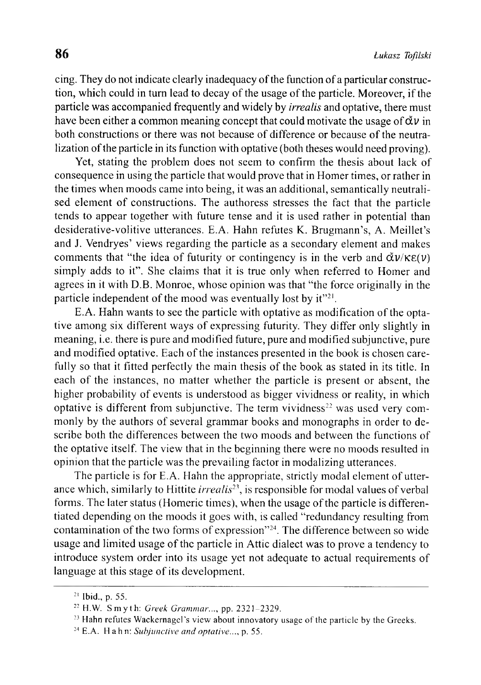cing. They do not indicate clearly inadequacy of the function of a particular construction, which could in turn lead to decay of the usage of the particle. Moreover, if the particle was accompanied frequently and widely by *irrealis* and optative, there must have been either a common meaning concept that could motivate the usage of  $\check{\alpha} \nu$  in both constructions or there was not because of difference or because of the neutralization of the particle in its function with optative (both theses would need proving).

Yet, stating the problem does not seem to confirm the thesis about lack of consequence in using the particle that would prove that in Homer times, or rather in the times when moods came into being, it was an additional, semantically neutralised element of constructions. The authoress stresses the fact that the particle tends to appear together with future tense and it is used rather in potential than desiderative-volitive utterances. E.A. Hahn refutes K. Brugmann's, A. Meillet's and J. Vendryes' views regarding the particle as a secondary element and makes comments that "the idea of futurity or contingency is in the verb and  $\tilde{\alpha} \nu / \kappa \varepsilon(\nu)$ simply adds to it". She claims that it is true only when referred to Homer and agrees in it with D.B. Monroe, whose opinion was that "the force originally in the particle independent of the mood was eventually lost by  $it^{\prime\prime}$ .

E.A. Hahn wants to see the particle with optative as modification of the optative among six different ways of expressing futurity. They differ only slightly in meaning, i.e. there is pure and modified future, pure and modified subjunctive, pure and modified optative. Each of the instances presented in the book is chosen carefully so that it fitted perfectly the main thesis of the book as stated in its title. In each of the instances, no matter whether the particle is present or absent, the higher probability of events is understood as bigger vividness or reality, in which optative is different from subjunctive. The term vividness<sup>22</sup> was used very commonly by the authors of several grammar books and monographs in order to describe both the differences between the two moods and between the functions of the optative itself. The view that in the beginning there were no moods resulted in opinion that the particle was the prevailing factor in modalizing utterances.

The particle is for E.A. Hahn the appropriate, strictly modal element of utterance which, similarly to Hittite *irrealis*<sup>23</sup>, is responsible for modal values of verbal forms. The later status (Homeric times), when the usage of the particle is differentiated depending on the moods it goes with, is called "redundancy resulting from contamination of the two forms of expression"<sup>24</sup>. The difference between so wide usage and limited usage of the particle in Attic dialect was to prove a tendency to introduce system order into its usage yet not adequate to actual requirements of language at this stage of its development.

<sup>21</sup> Ibid., p. 55.

<sup>&</sup>lt;sup>22</sup> H.W. Smyth: *Greek Grammar...*, pp. 2321-2329.

<sup>&</sup>lt;sup>23</sup> Hahn refutes Wackernagel's view about innovatory usage of the particle by the Greeks.

<sup>24</sup> E.A. Hahn: *Subjunctive and optative...,* p. 55.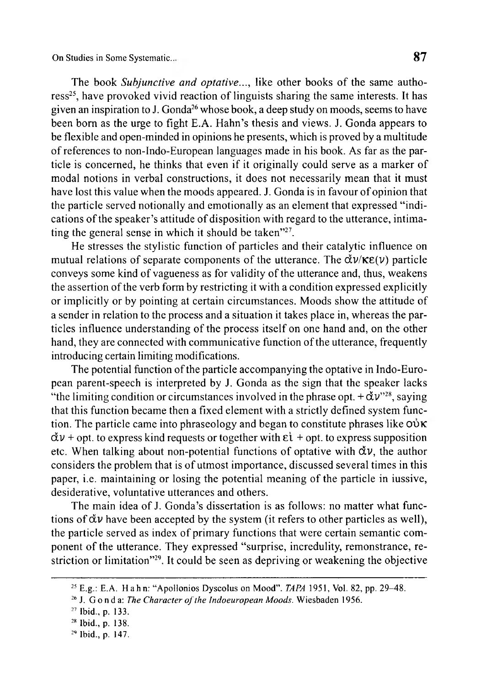On Studies in Some Systematic...

The book *Subjunctive and optative...*, like other books of the same authoress<sup>25</sup>, have provoked vivid reaction of linguists sharing the same interests. It has given an inspiration to J. Gonda<sup>26</sup> whose book, a deep study on moods, seems to have been born as the urge to fight E.A. Hahn's thesis and views. J. Gonda appears to be flexible and open-minded in opinions he presents, which is proved by a multitude of references to non-Indo-European languages made in his book. As far as the particle is concerned, he thinks that even if it originally could serve as a marker of modal notions in verbal constructions, it does not necessarily mean that it must have lost this value when the moods appeared. J. Gonda is in favour of opinion that the particle served notionally and emotionally as an element that expressed "indications of the speaker's attitude of disposition with regard to the utterance, intimating the general sense in which it should be taken"<sup>27</sup>.

He stresses the stylistic function of particles and their catalytic influence on mutual relations of separate components of the utterance. The  $\check{\alpha} \nu / \kappa \epsilon(\nu)$  particle conveys some kind of vagueness as for validity of the utterance and, thus, weakens the assertion of the verb form by restricting it with a condition expressed explicitly or implicitly or by pointing at certain circumstances. Moods show the attitude of a sender in relation to the process and a situation it takes place in, whereas the particles influence understanding of the process itself on one hand and, on the other hand, they are connected with communicative function of the utterance, frequently introducing certain limiting modifications.

The potential function of the particle accompanying the optative in Indo-European parent-speech is interpreted by J. Gonda as the sign that the speaker lacks "the limiting condition or circumstances involved in the phrase opt.  $+\check{\alpha}v^{\prime\prime 28}$ , saying that this function became then a fixed element with a strictly defined system function. The particle came into phraseology and began to constitute phrases like  $\omega \kappa$  $\tilde{\alpha} \nu$  + opt. to express kind requests or together with  $\epsilon \tilde{\iota}$  + opt. to express supposition etc. When talking about non-potential functions of optative with  $\dot{\alpha} \nu$ , the author considers the problem that is of utmost importance, discussed several times in this paper, i.e. maintaining or losing the potential meaning of the particle in iussive, desiderative, voluntative utterances and others.

The main idea of J. Gonda's dissertation is as follows: no matter what functions of  $\dot{\alpha} \nu$  have been accepted by the system (it refers to other particles as well), the particle served as index of primary functions that were certain semantic component of the utterance. They expressed "surprise, incredulity, remonstrance, restriction or limitation"29. It could be seen as depriving or weakening the objective

<sup>&</sup>lt;sup>25</sup> E.g.: E.A. Hahn: "Apollonios Dyscolus on Mood". *TAPA* 1951, Vol. 82, pp. 29–48.

<sup>&</sup>lt;sup>26</sup> J. G o n d a: *The Character of the Indoeuropean Moods*. Wiesbaden 1956.

<sup>27</sup> Ibid., p. 133.

<sup>28</sup> Ibid., p. 138.

<sup>&</sup>lt;sup>29</sup> Ibid., p. 147.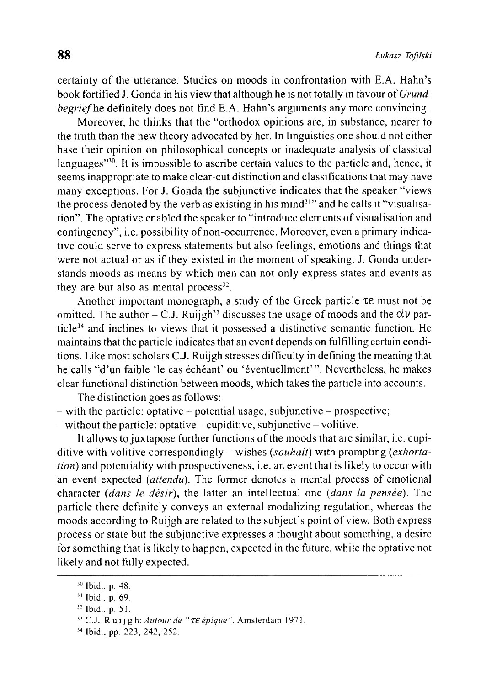certainty of the utterance. Studies on moods in confrontation with E.A. Hahn's book fortified J. Gonda in his view that although he is not totally in favour of *Grundbegrief* he definitely does not find E.A. Hahn's arguments any more convincing.

Moreover, he thinks that the "orthodox opinions are, in substance, nearer to the truth than the new theory advocated by her. In linguistics one should not either base their opinion on philosophical concepts or inadequate analysis of classical languages"<sup>30</sup>. It is impossible to ascribe certain values to the particle and, hence, it seems inappropriate to make clear-cut distinction and classifications that may have many exceptions. For J. Gonda the subjunctive indicates that the speaker "views the process denoted by the verb as existing in his mind<sup>31</sup>" and he calls it "visualisation". The optative enabled the speaker to "introduce elements of visualisation and contingency", i.e. possibility of non-occurrence. Moreover, even a primary indicative could serve to express statements but also feelings, emotions and things that were not actual or as if they existed in the moment of speaking. J. Gonda understands moods as means by which men can not only express states and events as they are but also as mental process $32$ .

Another important monograph, a study of the Greek particle  $\tau \varepsilon$  must not be omitted. The author – C.J. Ruijgh<sup>33</sup> discusses the usage of moods and the  $\check{\alpha}v$  particle34 and inclines to views that it possessed a distinctive semantic function. He maintains that the particle indicates that an event depends on fulfilling certain conditions. Like most scholars C.J. Ruijgh stresses difficulty in defining the meaning that he calls "d'un faible 'le cas échéant' ou 'éventuellment'". Nevertheless, he makes clear functional distinction between moods, which takes the particle into accounts.

The distinction goes as follows:  $-$  with the particle: optative  $-$  potential usage, subjunctive  $-$  prospective;

 $-$  without the particle: optative  $-$  cupiditive, subjunctive  $-$  volitive.

It allows to juxtapose further functions of the moods that are similar, *i.e.* cupiditive with volitive correspondingly - wishes (*souhait)* with prompting (*exhortation)* and potentiality with prospectiveness, i.e. an event that is likely to occur with an event expected *(attenda).* The former denotes a mental process of emotional character *(dans le désir),* the latter an intellectual one *(dans la pensée).* The particle there definitely conveys an external modalizing regulation, whereas the moods according to Ruijgh are related to the subject's point of view. Both express process or state but the subjunctive expresses a thought about something, a desire for something that is likely to happen, expected in the future, while the optative not likely and not fully expected.

<sup>30</sup> Ibid., p. 48.

<sup>31</sup> Ibid., p. 69.

<sup>33</sup> Ibid., p. 51.

<sup>&</sup>lt;sup>33</sup> C.J. Ruijgh: Autour de "  $\tau \varepsilon$  épique". Amsterdam 1971.

<sup>34</sup> Ibid., pp. 223, 242, 252.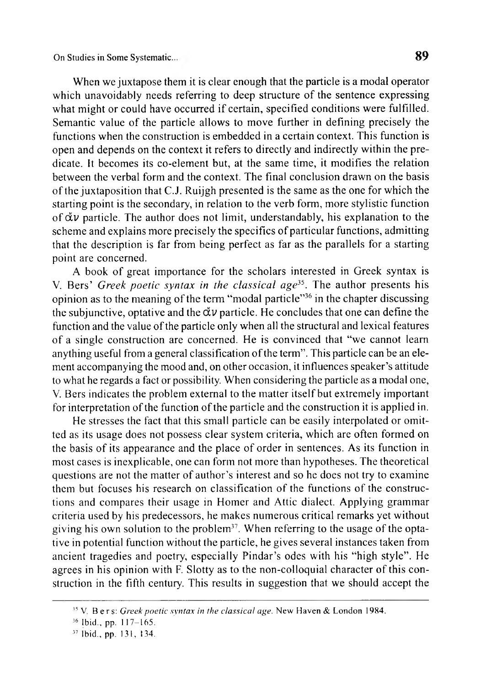When we juxtapose them it is clear enough that the particle is a modal operator which unavoidably needs referring to deep structure of the sentence expressing what might or could have occurred if certain, specified conditions were fulfilled. Semantic value of the particle allows to move further in defining precisely the functions when the construction is embedded in a certain context. This function is open and depends on the context it refers to directly and indirectly within the predicate. It becomes its co-element but, at the same time, it modifies the relation between the verbal form and the context. The final conclusion drawn on the basis of the juxtaposition that C.J. Ruijgh presented is the same as the one for which the starting point is the secondary, in relation to the verb form, more stylistic function of  $\tilde{\alpha} \nu$  particle. The author does not limit, understandably, his explanation to the scheme and explains more precisely the specifics of particular functions, admitting that the description is far from being perfect as far as the parallels for a starting point are concerned.

A book of great importance for the scholars interested in Greek syntax is V. Bers' Greek poetic syntax in the classical age<sup>35</sup>. The author presents his opinion as to the meaning of the term "modal particle"<sup>36</sup> in the chapter discussing the subjunctive, optative and the *dv* particle. He concludes that one can define the function and the value of the particle only when all the structural and lexical features o f a single construction are concerned. He is convinced that "we cannot learn anything useful from a general classification of the term". This particle can be an element accompanying the mood and, on other occasion, it influences speaker's attitude to what he regards a fact or possibility. When considering the particle as a modal one, V. Bers indicates the problem external to the matter itself but extremely important for interpretation of the function of the particle and the construction it is applied in.

He stresses the fact that this small particle can be easily interpolated or omitted as its usage does not possess clear system criteria, which are often formed on the basis of its appearance and the place of order in sentences. As its function in most cases is inexplicable, one can form not more than hypotheses. The theoretical questions are not the matter of author's interest and so he does not try to examine them but focuses his research on classification of the functions of the constructions and compares their usage in Homer and Attic dialect. Applying grammar criteria used by his predecessors, he makes numerous critical remarks yet without giving his own solution to the problem<sup>37</sup>. When referring to the usage of the optative in potential function without the particle, he gives several instances taken from ancient tragedies and poetry, especially Pindar's odes with his "high style". He agrees in his opinion with F. Slotty as to the non-colloquial character of this construction in the fifth century. This results in suggestion that we should accept the

<sup>&</sup>lt;sup>35</sup> V. Bers: *Greek poetic syntax in the classical age*. New Haven & London 1984.

<sup>36</sup> Ibid.. pp. I 17-165.

<sup>37</sup> Ibid., pp. 131, 134.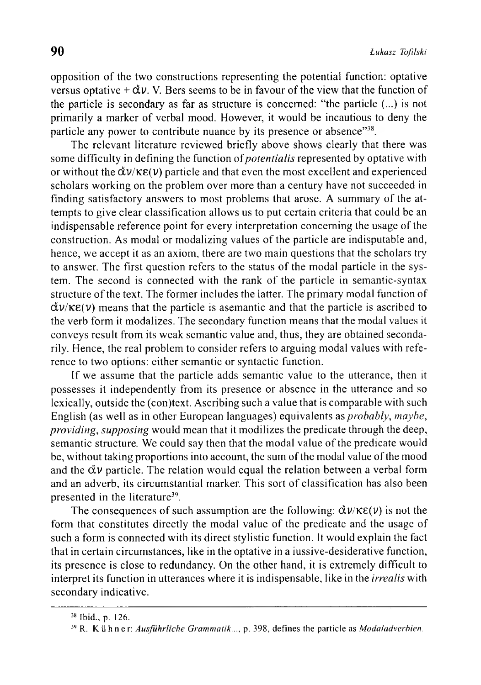opposition o f the two constructions representing the potential function: optative versus optative  $+\check{\alpha}v$ . V. Bers seems to be in favour of the view that the function of the particle is secondary as far as structure is concerned: "the particle (...) is not primarily a marker of verbal mood. However, it would be incautious to deny the particle any power to contribute nuance by its presence or absence"<sup>38</sup>.

The relevant literature reviewed briefly above shows clearly that there was some difficulty in defining the function of*potentialis* represented by optative with or without the **dv/K£(v)** particle and that even the most excellent and experienced scholars working on the problem over more than a century have not succeeded in finding satisfactory answers to most problems that arose. A summary of the attempts to give clear classification allows us to put certain criteria that could be an indispensable reference point for every interpretation concerning the usage of the construction. As modal or modalizing values of the particle are indisputable and, hence, we accept it as an axiom, there are two main questions that the scholars try to answer. The first question refers to the status of the modal particle in the system. The second is connected with the rank of the particle in semantic-syntax structure of the text. The former includes the latter. The primary modal function of  $\frac{d\mathbf{v}}{K\epsilon(\mathbf{v})}$  means that the particle is asemantic and that the particle is ascribed to the verb form it modalizes. The secondary function means that the modal values it conveys result from its weak semantic value and, thus, they are obtained secondarily. Hence, the real problem to consider refers to arguing modal values with reference to two options: either semantic or syntactic function.

If we assume that the particle adds semantic value to the utterance, then it possesses it independently from its presence or absence in the utterance and so lexically, outside the (con)text. Ascribing such a value that is comparable with such English (as well as in other European languages) equivalents as *probably, maybe, providing, supposing* would mean that it modilizes the predicate through the deep, semantic structure. We could say then that the modal value of the predicate would be, without taking proportions into account, the sum of the modal value of the mood and the  $\tilde{\alpha} \nu$  particle. The relation would equal the relation between a verbal form and an adverb, its circumstantial marker. This sort of classification has also been presented in the literature<sup>39</sup>.

The consequences of such assumption are the following:  $\dot{\alpha}v/\kappa\epsilon(v)$  is not the form that constitutes directly the modal value of the predicate and the usage of such a form is connected with its direct stylistic function. It would explain the fact that in certain circumstances, like in the optative in a iussive-desiderative function, its presence is close to redundancy. On the other hand, it is extremely difficult to interpret its function in utterances where it is indispensable, like in the *irrealis* with secondary indicative.

<sup>38</sup> Ibid., p. 126.

<sup>&</sup>lt;sup>39</sup> R. Kühner: *Ausführliche Grammatik...*, p. 398, defines the particle as *Modaladverbien*.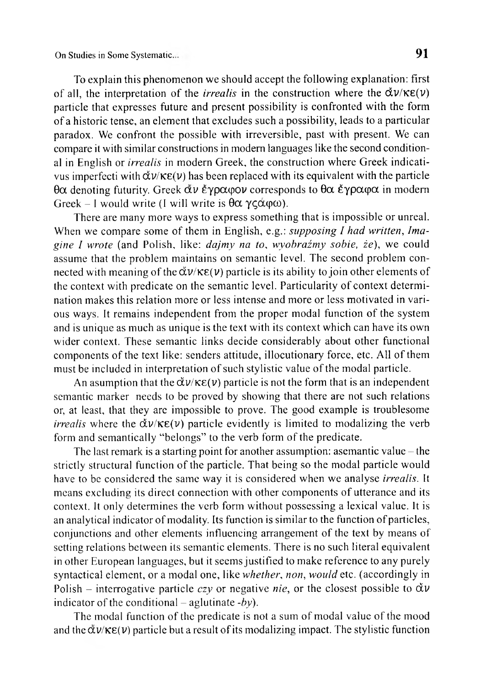To explain this phenomenon we should accept the following explanation: first of all, the interpretation of the *irrealis* in the construction where the  $\tilde{\alpha}v/\kappa\epsilon(v)$ particle that expresses future and present possibility is confronted with the form of a historic tense, an element that excludes such a possibility, leads to a particular paradox. We confront the possible with irreversible, past with present. We can compare it with similar constructions in modem languages like the second conditional in English or *irrealis* in modern Greek, the construction where Greek indicativus imperfecti with **dv/K£(v)** has been replaced with its equivalent with the particle **9a** denoting futurity. Greek **av èypatpov** corresponds to **0a éypacpa** in modern Greek - I would write (I will write is  $\theta \alpha \gamma \zeta \alpha \varphi \omega$ ).

There are many more ways to express something that is impossible or unreal. When we compare some of them in English, e.g.: *supposing I had written, Imagine I wrote* (and Polish, like: *dajmy na to, wyobraźmy sobie, ie),* we could assume that the problem maintains on semantic level. The second problem connected with meaning of the  $\tilde{\alpha}v/\kappa \varepsilon(v)$  particle is its ability to join other elements of the context with predicate on the semantic level. Particularity of context determination makes this relation more or less intense and more or less motivated in various ways. It remains independent from the proper modal function of the system and is unique as much as unique is the text with its context which can have its own wider context. These semantic links decide considerably about other functional components of the text like: senders attitude, illocutionary force, etc. All of them must be included in interpretation of such stylistic value of the modal particle.

An asumption that the  $\tilde{\alpha}v/\kappa\epsilon(v)$  particle is not the form that is an independent semantic marker needs to be proved by showing that there are not such relations or, at least, that they are impossible to prove. The good example is troublesome *irrealis* where the  $\tilde{\alpha}v/\kappa\epsilon(v)$  particle evidently is limited to modalizing the verb form and semantically "belongs" to the verb form of the predicate.

The last remark is a starting point for another assumption: asemantic value – the strictly structural function of the particle. That being so the modal particle would have to be considered the same way it is considered when wc analyse *irrealis.* It means excluding its direct connection with other components of utterance and its context. It only determines the verb form without possessing a lexical value. It is an analytical indicator of modality. Its function is similar to the function of particles, conjunctions and other elements influencing arrangement of the text by means of setting relations between its semantic elements. There is no such literal equivalent in other European languages, but it seems justified to make reference to any purely syntactical element, or a modal one, like *whether*, *non, would* etc. (accordingly in Polish – interrogative particle  $czy$  or negative *nie*, or the closest possible to  $\check{\alpha}v$ indicator of the conditional  $-$  aglutinate *-by*).

The modal function of the predicate is not a sum of modal value of the mood and the  $\tilde{\alpha}v/\kappa\epsilon(v)$  particle but a result of its modalizing impact. The stylistic function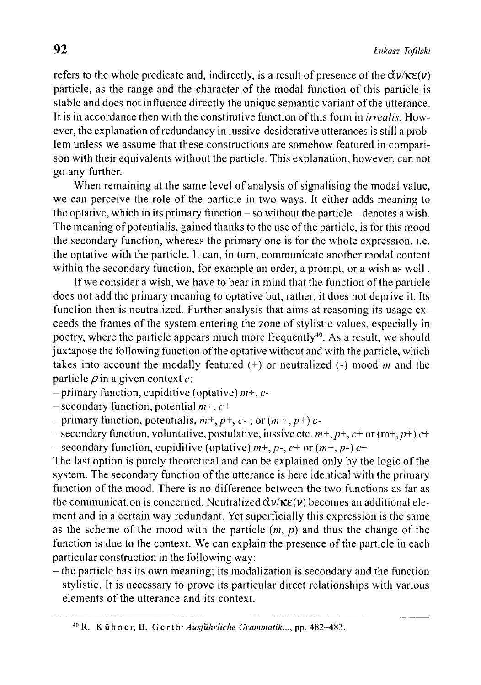refers to the whole predicate and, indirectly, is a result of presence of the  $\check{\alpha} \nu / \kappa \varepsilon(\nu)$ particle, as the range and the character of the modal function of this particle is stable and does not influence directly the unique semantic variant of the utterance. It is in accordance then with the constitutive function of this form in *irrealis.* However, the explanation of redundancy in iussive-desiderative utterances is still a problem unless we assume that these constructions are somehow featured in comparison with their equivalents without the particle. This explanation, however, can not go any further.

When remaining at the same level of analysis of signalising the modal value, we can perceive the role of the particle in two ways. It either adds meaning to the optative, which in its primary function  $-$  so without the particle  $-$  denotes a wish. The meaning of potentialis, gained thanks to the use of the particle, is for this mood the secondary function, whereas the primary one is for the whole expression, i.e. the optative with the particle. It can, in turn, communicate another modal content within the secondary function, for example an order, a prompt, or a wish as well .

If we consider a wish, we have to bear in mind that the function of the particle does not add the primary meaning to optative but, rather, it does not deprive it. Its function then is neutralized. Further analysis that aims at reasoning its usage exceeds the frames of the system entering the zone of stylistic values, especially in poetry, where the particle appears much more frequently<sup>40</sup>. As a result, we should juxtapose the following function of the optative without and with the particle, which takes into account the modally featured (+) or neutralized (-) mood *m* and the particle  $\rho$  in a given context  $c$ :

- primary function, cupiditive (optative) *m+, c-*

- secondary function, potential *m+, c+*

*-* primary function, potentialis, *m+, p+, c-* ; or *(m* +, *p+) c-*

 $-$  secondary function, voluntative, postulative, iussive etc.  $m+$ ,  $p+$ ,  $c+$  or  $(m+$ ,  $p+$ )  $c+$ - secondary function, cupiditive (optative) *m+, p-, c+* or (*m*+, *p-) c+*

The last option is purely theoretical and can be explained only by the logic of the system. The secondary function of the utterance is here identical with the primary function of the mood. There is no difference between the two functions as far as the communication is concerned. Neutralized  $\tilde{\alpha} \nu / \kappa \epsilon(\nu)$  becomes an additional element and in a certain way redundant. Yet superficially this expression is the same as the scheme of the mood with the particle  $(m, p)$  and thus the change of the function is due to the context. We can explain the presence of the particle in each particular construction in the following way:

- the particle has its own meaning; its modalization is secondary and the function stylistic. It is necessary to prove its particular direct relationships with various elements of the utterance and its context.

<sup>&</sup>lt;sup>40</sup> R. Kühner, B. Gerth: Ausführliche Grammatik..., pp. 482-483.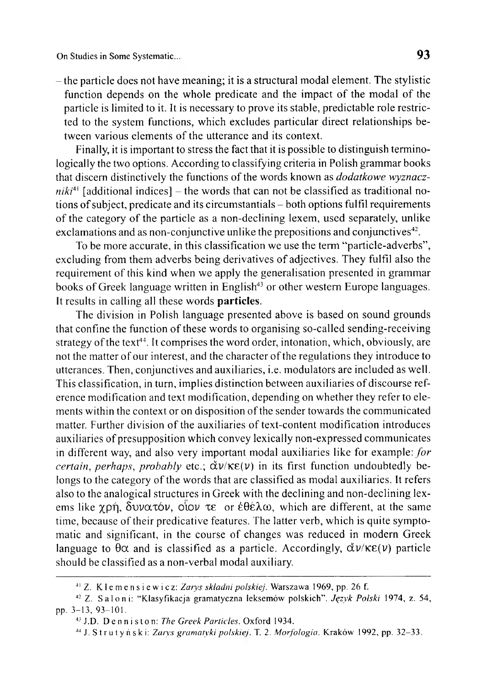On Studies in Some Systematic...

- the particle does not have meaning; it is a structural modal element. The stylistic function depends on the whole predicate and the impact of the modal of the particle is limited to it. It is necessary to prove its stable, predictable role restricted to the system functions, which excludes particular direct relationships between various elements of the utterance and its context.

Finally, it is important to stress the fact that it is possible to distinguish terminologically the two options. According to classifying criteria in Polish grammar books that discern distinctively the functions of the words known as *dodatkowe wyznacz* $niki<sup>41</sup>$  [additional indices] – the words that can not be classified as traditional notions of subject, predicate and its circumstantials - both options fulfil requirements of the category of the particle as a non-declining lexem, used separately, unlike exclamations and as non-conjunctive unlike the prepositions and conjunctives<sup>42</sup>.

To be more accurate, in this classification we use the term "particle-adverbs", excluding from them adverbs being derivatives of adjectives. They fulfil also the requirement of this kind when we apply the generalisation presented in grammar books of Greek language written in English<sup>43</sup> or other western Europe languages. It results in calling all these words particles.

The division in Polish language presented above is based on sound grounds that confine the function of these words to organising so-called sending-receiving strategy of the text<sup>44</sup>. It comprises the word order, intonation, which, obviously, are not the matter of our interest, and the character of the regulations they introduce to utterances. Then, conjunctives and auxiliaries, i.e. modulators are included as well. This classification, in turn, implies distinction between auxiliaries of discourse reference modification and text modification, depending on whether they refer to elements within the context or on disposition of the sender towards the communicated matter. Further division of the auxiliaries of text-content modification introduces auxiliaries of presupposition which convey lexically non-expressed communicates in different way, and also very important modal auxiliaries like for example: *for certain*, *perhaps*, *probably* etc.;  $\check{\alpha}v$ / $\kappa\varepsilon(v)$  in its first function undoubtedly belongs to the category of the words that are classified as modal auxiliaries. It refers also to the analogical structures in Greek with the declining and non-dcclining lexems like  $\gamma$ pή, δυνατόν, οίον τε or έθέλω, which are different, at the same time, because of their predicative features. The latter verb, which is quite symptomatic and significant, in the course of changes was reduced in modern Greek language to  $\theta\alpha$  and is classified as a particle. Accordingly,  $\check{\alpha}\nu/\kappa\epsilon(\nu)$  particle should be classified as a non-verbal modal auxiliary.

<sup>&</sup>lt;sup>41</sup> Z. Klemensiewicz: Zarys składni polskiej. Warszawa 1969, pp. 26 f.

<sup>42</sup> Z. Saloni: " K lasyfikacja gram atyczna leksem ów polskich" . *Język P olski* 1974, z. 54, pp. 3-13, 93-101.

<sup>&</sup>lt;sup>43</sup> J.D. Denniston: The Greek Particles. Oxford 1934.

<sup>44</sup> J. Strutyński: *Zarys gram atyki polskiej.* T. 2. *M orfologia.* K raków 1992, pp. 32-33.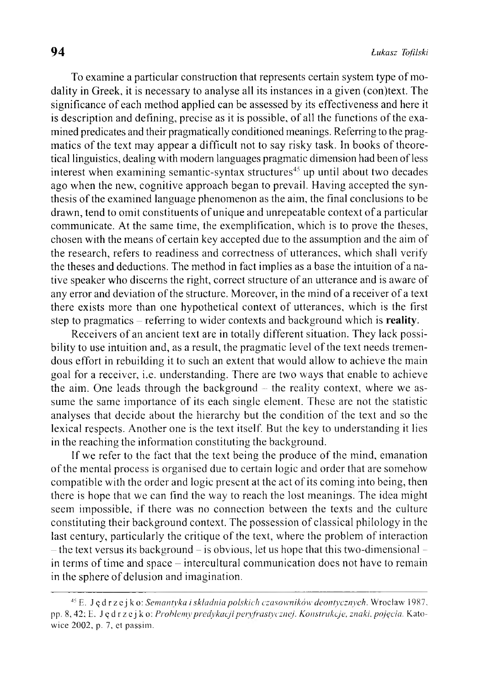To examine a particular construction that represents certain system type of modality in Greek, it is necessary to analyse all its instances in a given (con)text. The significance of each method applied can be assessed by its effectiveness and here it is description and defining, precise as it is possible, of all the functions of the examined predicates and their pragmatically conditioned meanings. Referring to the pragmatics of the text may appear a difficult not to say risky task. In books of theoretical linguistics, dealing with modem languages pragmatic dimension had been of less interest when examining semantic-syntax structures<sup> $45$ </sup> up until about two decades ago when the new, cognitive approach began to prevail. Having accepted the synthesis of the examined language phenomenon as the aim, the final conclusions to be drawn, tend to omit constituents of unique and unrepeatable context of a particular communicate. At the same time, the exemplification, which is to prove the theses, chosen with the means of certain key accepted due to the assumption and the aim of the research, refers to readiness and correctness of utterances, which shall verify the theses and deductions. The method in fact implies as a base the intuition of a native speaker who discerns the right, correct structure of an utterance and is aware of any error and deviation of the structure. Moreover, in the mind of a receiver of a text there exists more than one hypothetical context of utterances, which is the first step to pragmatics – referring to wider contexts and background which is reality.

Receivers of an ancient text are in totally different situation. They lack possibility to use intuition and, as a result, the pragmatic level of the text needs tremendous effort in rebuilding it to such an extent that would allow to achieve the main goal for a receiver, i.e. understanding. There are two ways that enable to achieve the aim. One leads through the background  $-$  the reality context, where we assume the same importance of its each single element. These are not the statistic analyses that decide about the hierarchy but the condition of the text and so the lexical respects. Another one is the text itself. But the key to understanding it lies in the reaching the information constituting the background.

If we refer to the fact that the text being the produce of the mind, emanation o f the mental process is organised due to certain logic and order that are somehow compatible with the order and logic present at the act of its coming into being, then there is hope that we can find the way to reach the lost meanings. The idea might seem impossible, if there was no connection between the texts and the culture constituting their background context. The possession of classical philology in the last century, particularly the critique of the text, where the problem of interaction  $-$  the text versus its background  $-$  is obvious, let us hope that this two-dimensional  $$ in terms of time and space – intercultural communication does not have to remain in the sphere of delusion and imagination.

<sup>45</sup> E. J ę d r z e j k o: *Sem antyka i składnia polskich czasow ników deontycznych.* W roclaw 1987, pp. 8, 42; E. Jędrzejko: *Problemy predykacji pervfrastycznej. Konstrukcje, znaki, pojęcia.* Katowice 2002, p. 7, et passim.